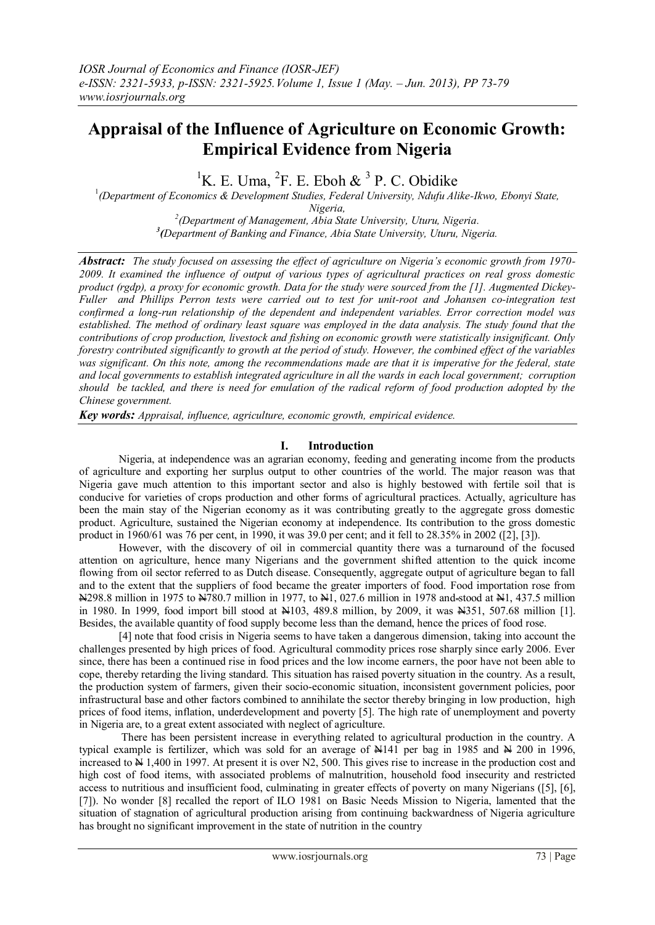# **Appraisal of the Influence of Agriculture on Economic Growth: Empirical Evidence from Nigeria**

<sup>1</sup>K. E. Uma, <sup>2</sup>F. E. Eboh & <sup>3</sup> P. C. Obidike

1 *(Department of Economics & Development Studies, Federal University, Ndufu Alike-Ikwo, Ebonyi State, Nigeria,*

*2 (Department of Management, Abia State University, Uturu, Nigeria. 3 (Department of Banking and Finance, Abia State University, Uturu, Nigeria.*

*Abstract: The study focused on assessing the effect of agriculture on Nigeria's economic growth from 1970- 2009. It examined the influence of output of various types of agricultural practices on real gross domestic product (rgdp), a proxy for economic growth. Data for the study were sourced from the [1]. Augmented Dickey-Fuller and Phillips Perron tests were carried out to test for unit-root and Johansen co-integration test confirmed a long-run relationship of the dependent and independent variables. Error correction model was established. The method of ordinary least square was employed in the data analysis. The study found that the contributions of crop production, livestock and fishing on economic growth were statistically insignificant. Only forestry contributed significantly to growth at the period of study. However, the combined effect of the variables was significant. On this note, among the recommendations made are that it is imperative for the federal, state and local governments to establish integrated agriculture in all the wards in each local government; corruption should be tackled, and there is need for emulation of the radical reform of food production adopted by the Chinese government.*

*Key words: Appraisal, influence, agriculture, economic growth, empirical evidence.*

#### **I. Introduction**

 Nigeria, at independence was an agrarian economy, feeding and generating income from the products of agriculture and exporting her surplus output to other countries of the world. The major reason was that Nigeria gave much attention to this important sector and also is highly bestowed with fertile soil that is conducive for varieties of crops production and other forms of agricultural practices. Actually, agriculture has been the main stay of the Nigerian economy as it was contributing greatly to the aggregate gross domestic product. Agriculture, sustained the Nigerian economy at independence. Its contribution to the gross domestic product in 1960/61 was 76 per cent, in 1990, it was 39.0 per cent; and it fell to 28.35% in 2002 ([2], [3]).

 However, with the discovery of oil in commercial quantity there was a turnaround of the focused attention on agriculture, hence many Nigerians and the government shifted attention to the quick income flowing from oil sector referred to as Dutch disease. Consequently, aggregate output of agriculture began to fall and to the extent that the suppliers of food became the greater importers of food. Food importation rose from N298.8 million in 1975 to N780.7 million in 1977, to N1, 027.6 million in 1978 and stood at N1, 437.5 million in 1980. In 1999, food import bill stood at N103, 489.8 million, by 2009, it was N351, 507.68 million [1]. Besides, the available quantity of food supply become less than the demand, hence the prices of food rose.

 [4] note that food crisis in Nigeria seems to have taken a dangerous dimension, taking into account the challenges presented by high prices of food. Agricultural commodity prices rose sharply since early 2006. Ever since, there has been a continued rise in food prices and the low income earners, the poor have not been able to cope, thereby retarding the living standard. This situation has raised poverty situation in the country. As a result, the production system of farmers, given their socio-economic situation, inconsistent government policies, poor infrastructural base and other factors combined to annihilate the sector thereby bringing in low production, high prices of food items, inflation, underdevelopment and poverty [5]. The high rate of unemployment and poverty in Nigeria are, to a great extent associated with neglect of agriculture.

 There has been persistent increase in everything related to agricultural production in the country. A typical example is fertilizer, which was sold for an average of  $\frac{1414}{1}$  per bag in 1985 and  $\frac{14200}{10}$  in 1996, increased to  $\overline{N}$  1,400 in 1997. At present it is over N2, 500. This gives rise to increase in the production cost and high cost of food items, with associated problems of malnutrition, household food insecurity and restricted access to nutritious and insufficient food, culminating in greater effects of poverty on many Nigerians ([5], [6], [7]). No wonder [8] recalled the report of ILO 1981 on Basic Needs Mission to Nigeria, lamented that the situation of stagnation of agricultural production arising from continuing backwardness of Nigeria agriculture has brought no significant improvement in the state of nutrition in the country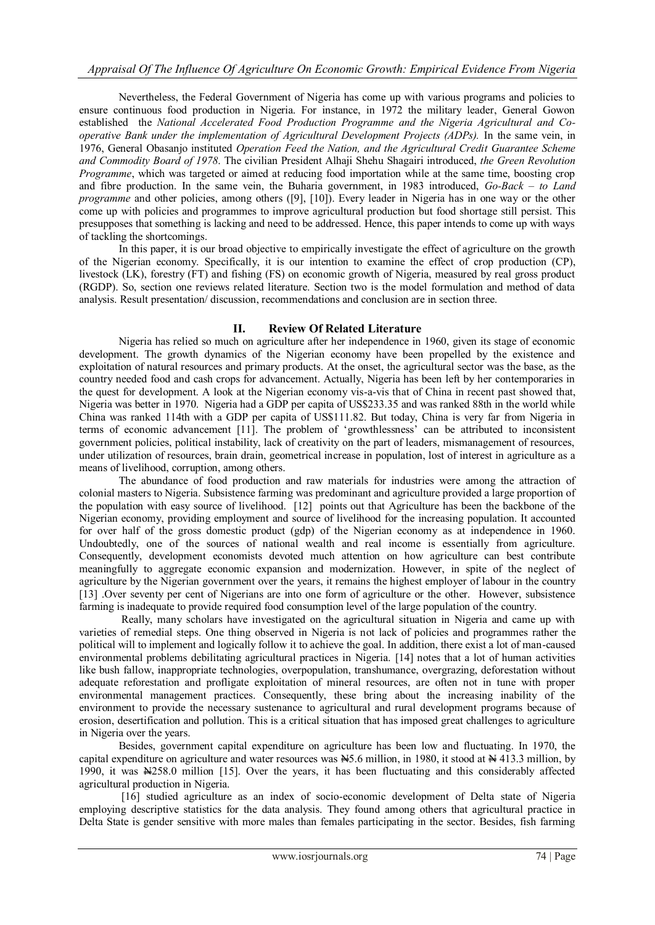Nevertheless, the Federal Government of Nigeria has come up with various programs and policies to ensure continuous food production in Nigeria. For instance, in 1972 the military leader, General Gowon established the *National Accelerated Food Production Programme and the Nigeria Agricultural and Cooperative Bank under the implementation of Agricultural Development Projects (ADPs).* In the same vein, in 1976, General Obasanjo instituted *Operation Feed the Nation, and the Agricultural Credit Guarantee Scheme and Commodity Board of 1978*. The civilian President Alhaji Shehu Shagairi introduced, *the Green Revolution Programme*, which was targeted or aimed at reducing food importation while at the same time, boosting crop and fibre production. In the same vein, the Buharia government, in 1983 introduced, *Go-Back – to Land programme* and other policies, among others ([9], [10]). Every leader in Nigeria has in one way or the other come up with policies and programmes to improve agricultural production but food shortage still persist. This presupposes that something is lacking and need to be addressed. Hence, this paper intends to come up with ways of tackling the shortcomings.

 In this paper, it is our broad objective to empirically investigate the effect of agriculture on the growth of the Nigerian economy. Specifically, it is our intention to examine the effect of crop production (CP), livestock (LK), forestry (FT) and fishing (FS) on economic growth of Nigeria, measured by real gross product (RGDP). So, section one reviews related literature. Section two is the model formulation and method of data analysis. Result presentation/ discussion, recommendations and conclusion are in section three.

## **II. Review Of Related Literature**

 Nigeria has relied so much on agriculture after her independence in 1960, given its stage of economic development. The growth dynamics of the Nigerian economy have been propelled by the existence and exploitation of natural resources and primary products. At the onset, the agricultural sector was the base, as the country needed food and cash crops for advancement. Actually, Nigeria has been left by her contemporaries in the quest for development. A look at the Nigerian economy vis-a-vis that of China in recent past showed that, Nigeria was better in 1970. Nigeria had a GDP per capita of US\$233.35 and was ranked 88th in the world while China was ranked 114th with a GDP per capita of US\$111.82. But today, China is very far from Nigeria in terms of economic advancement [11]. The problem of 'growthlessness' can be attributed to inconsistent government policies, political instability, lack of creativity on the part of leaders, mismanagement of resources, under utilization of resources, brain drain, geometrical increase in population, lost of interest in agriculture as a means of livelihood, corruption, among others.

 The abundance of food production and raw materials for industries were among the attraction of colonial masters to Nigeria. Subsistence farming was predominant and agriculture provided a large proportion of the population with easy source of livelihood. [12] points out that Agriculture has been the backbone of the Nigerian economy, providing employment and source of livelihood for the increasing population. It accounted for over half of the gross domestic product (gdp) of the Nigerian economy as at independence in 1960. Undoubtedly, one of the sources of national wealth and real income is essentially from agriculture. Consequently, development economists devoted much attention on how agriculture can best contribute meaningfully to aggregate economic expansion and modernization. However, in spite of the neglect of agriculture by the Nigerian government over the years, it remains the highest employer of labour in the country [13] .Over seventy per cent of Nigerians are into one form of agriculture or the other. However, subsistence farming is inadequate to provide required food consumption level of the large population of the country.

 Really, many scholars have investigated on the agricultural situation in Nigeria and came up with varieties of remedial steps. One thing observed in Nigeria is not lack of policies and programmes rather the political will to implement and logically follow it to achieve the goal. In addition, there exist a lot of man-caused environmental problems debilitating agricultural practices in Nigeria. [14] notes that a lot of human activities like bush fallow, inappropriate technologies, overpopulation, transhumance, overgrazing, deforestation without adequate reforestation and profligate exploitation of mineral resources, are often not in tune with proper environmental management practices. Consequently, these bring about the increasing inability of the environment to provide the necessary sustenance to agricultural and rural development programs because of erosion, desertification and pollution. This is a critical situation that has imposed great challenges to agriculture in Nigeria over the years.

 Besides, government capital expenditure on agriculture has been low and fluctuating. In 1970, the capital expenditure on agriculture and water resources was  $\frac{N}{2}$ . 6 million, in 1980, it stood at  $\frac{N}{2}$  413.3 million, by 1990, it was N258.0 million [15]. Over the years, it has been fluctuating and this considerably affected agricultural production in Nigeria.

[16] studied agriculture as an index of socio-economic development of Delta state of Nigeria employing descriptive statistics for the data analysis. They found among others that agricultural practice in Delta State is gender sensitive with more males than females participating in the sector. Besides, fish farming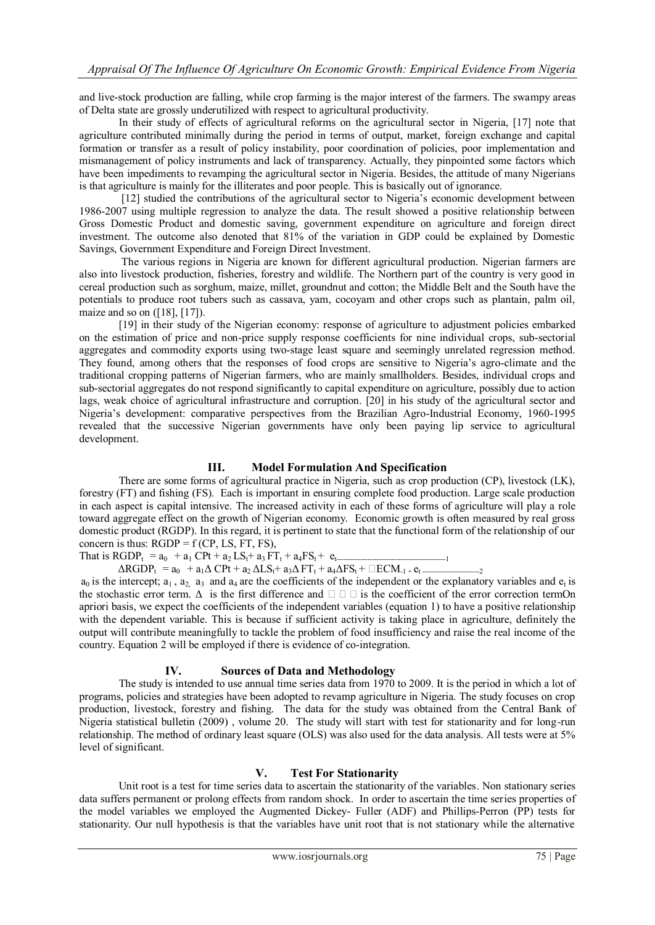and live-stock production are falling, while crop farming is the major interest of the farmers. The swampy areas of Delta state are grossly underutilized with respect to agricultural productivity.

 In their study of effects of agricultural reforms on the agricultural sector in Nigeria, [17] note that agriculture contributed minimally during the period in terms of output, market, foreign exchange and capital formation or transfer as a result of policy instability, poor coordination of policies, poor implementation and mismanagement of policy instruments and lack of transparency. Actually, they pinpointed some factors which have been impediments to revamping the agricultural sector in Nigeria. Besides, the attitude of many Nigerians is that agriculture is mainly for the illiterates and poor people. This is basically out of ignorance.

[12] studied the contributions of the agricultural sector to Nigeria's economic development between 1986-2007 using multiple regression to analyze the data. The result showed a positive relationship between Gross Domestic Product and domestic saving, government expenditure on agriculture and foreign direct investment. The outcome also denoted that 81% of the variation in GDP could be explained by Domestic Savings, Government Expenditure and Foreign Direct Investment.

 The various regions in Nigeria are known for different agricultural production. Nigerian farmers are also into livestock production, fisheries, forestry and wildlife. The Northern part of the country is very good in cereal production such as sorghum, maize, millet, groundnut and cotton; the Middle Belt and the South have the potentials to produce root tubers such as cassava, yam, cocoyam and other crops such as plantain, palm oil, maize and so on  $([18], [17])$ .

 [19] in their study of the Nigerian economy: response of agriculture to adjustment policies embarked on the estimation of price and non-price supply response coefficients for nine individual crops, sub-sectorial aggregates and commodity exports using two-stage least square and seemingly unrelated regression method. They found, among others that the responses of food crops are sensitive to Nigeria"s agro-climate and the traditional cropping patterns of Nigerian farmers, who are mainly smallholders. Besides, individual crops and sub-sectorial aggregates do not respond significantly to capital expenditure on agriculture, possibly due to action lags, weak choice of agricultural infrastructure and corruption. [20] in his study of the agricultural sector and Nigeria"s development: comparative perspectives from the Brazilian Agro-Industrial Economy, 1960-1995 revealed that the successive Nigerian governments have only been paying lip service to agricultural development.

#### **III. Model Formulation And Specification**

There are some forms of agricultural practice in Nigeria, such as crop production (CP), livestock (LK), forestry (FT) and fishing (FS). Each is important in ensuring complete food production. Large scale production in each aspect is capital intensive. The increased activity in each of these forms of agriculture will play a role toward aggregate effect on the growth of Nigerian economy. Economic growth is often measured by real gross domestic product (RGDP). In this regard, it is pertinent to state that the functional form of the relationship of our concern is thus:  $RGDP = f(CP, LS, FT, FS)$ ,

That is  $RGDP_t = a_0 + a_1 CPt + a_2 LS_t + a_3 FT_t + a_4 FS_t + e_t$  $\Delta RGDP_t = a_0 + a_1 \Delta \text{ CPt} + a_2 \Delta \text{LS}_t + a_3 \Delta \text{FT}_t + a_4 \Delta \text{FS}_t + \Box ECM_{-1} + e_t$ 

 $a_0$  is the intercept;  $a_1$ ,  $a_2$ ,  $a_3$  and  $a_4$  are the coefficients of the independent or the explanatory variables and  $e_t$  is the stochastic error term.  $\Delta$  is the first difference and  $\square \square \square$  is the coefficient of the error correction termOn apriori basis, we expect the coefficients of the independent variables (equation 1) to have a positive relationship with the dependent variable. This is because if sufficient activity is taking place in agriculture, definitely the output will contribute meaningfully to tackle the problem of food insufficiency and raise the real income of the country. Equation 2 will be employed if there is evidence of co-integration.

#### **IV. Sources of Data and Methodology**

The study is intended to use annual time series data from 1970 to 2009. It is the period in which a lot of programs, policies and strategies have been adopted to revamp agriculture in Nigeria. The study focuses on crop production, livestock, forestry and fishing. The data for the study was obtained from the Central Bank of Nigeria statistical bulletin (2009) , volume 20. The study will start with test for stationarity and for long-run relationship. The method of ordinary least square (OLS) was also used for the data analysis. All tests were at 5% level of significant.

#### **V. Test For Stationarity**

Unit root is a test for time series data to ascertain the stationarity of the variables. Non stationary series data suffers permanent or prolong effects from random shock. In order to ascertain the time series properties of the model variables we employed the Augmented Dickey- Fuller (ADF) and Phillips-Perron (PP) tests for stationarity. Our null hypothesis is that the variables have unit root that is not stationary while the alternative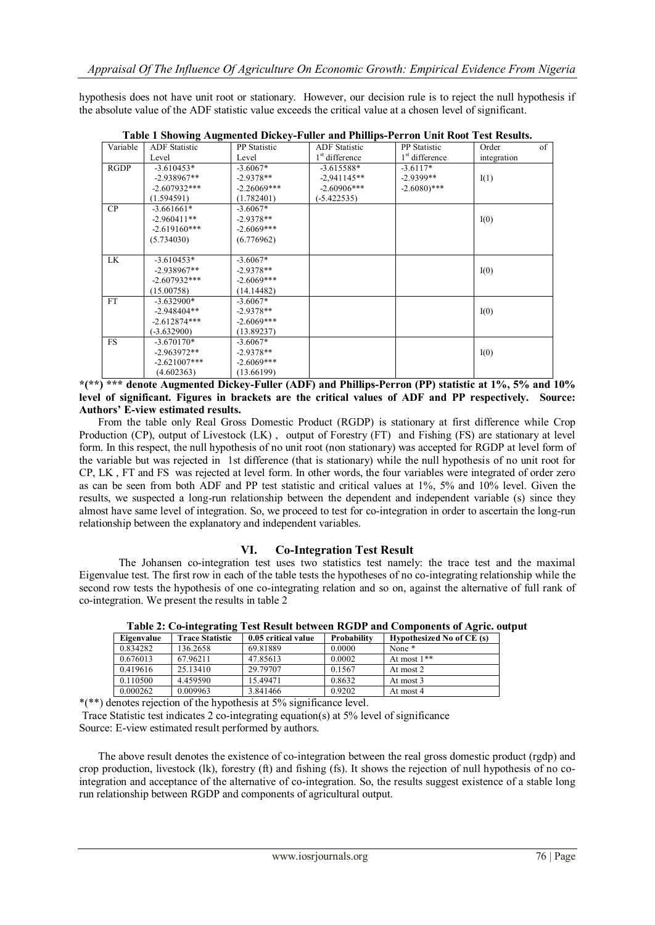hypothesis does not have unit root or stationary. However, our decision rule is to reject the null hypothesis if the absolute value of the ADF statistic value exceeds the critical value at a chosen level of significant.

|             | $\ldots$             |                     |                      |                            |             |    |
|-------------|----------------------|---------------------|----------------------|----------------------------|-------------|----|
| Variable    | <b>ADF</b> Statistic | <b>PP</b> Statistic | <b>ADF</b> Statistic | <b>PP</b> Statistic        | Order       | of |
|             | Level                | Level               | $1st$ difference     | 1 <sup>st</sup> difference | integration |    |
| <b>RGDP</b> | $-3.610453*$         | $-3.6067*$          | $-3.615588*$         | $-3.6117*$                 |             |    |
|             | $-2.938967**$        | $-2.9378**$         | $-2,941145**$        | $-2.9399**$                | I(1)        |    |
|             | $-2.607932***$       | $-2.26069***$       | $-2.60906***$        | $-2.6080$ <sup>***</sup>   |             |    |
|             | (1.594591)           | (1.782401)          | $(-5.422535)$        |                            |             |    |
| CP          | $-3.661661*$         | $-3.6067*$          |                      |                            |             |    |
|             | $-2.960411**$        | $-2.9378**$         |                      |                            | I(0)        |    |
|             | $-2.619160***$       | $-2.6069***$        |                      |                            |             |    |
|             | (5.734030)           | (6.776962)          |                      |                            |             |    |
|             |                      |                     |                      |                            |             |    |
| LK          | $-3.610453*$         | $-3.6067*$          |                      |                            |             |    |
|             | $-2.938967**$        | $-2.9378**$         |                      |                            | I(0)        |    |
|             | $-2.607932***$       | $-2.6069***$        |                      |                            |             |    |
|             | (15.00758)           | (14.14482)          |                      |                            |             |    |
| <b>FT</b>   | $-3.632900*$         | $-3.6067*$          |                      |                            |             |    |
|             | $-2.948404**$        | $-2.9378**$         |                      |                            | I(0)        |    |
|             | $-2.612874***$       | $-2.6069***$        |                      |                            |             |    |
|             | $(-3.632900)$        | (13.89237)          |                      |                            |             |    |
| <b>FS</b>   | $-3.670170*$         | $-3.6067*$          |                      |                            |             |    |
|             | $-2.963972**$        | $-2.9378**$         |                      |                            | I(0)        |    |
|             | $-2.621007***$       | $-2.6069***$        |                      |                            |             |    |
|             | (4.602363)           | (13.66199)          |                      |                            |             |    |

**Table 1 Showing Augmented Dickey-Fuller and Phillips-Perron Unit Root Test Results.**

**\*(\*\*) \*\*\* denote Augmented Dickey-Fuller (ADF) and Phillips-Perron (PP) statistic at 1%, 5% and 10% level of significant. Figures in brackets are the critical values of ADF and PP respectively. Source: Authors' E-view estimated results.**

 From the table only Real Gross Domestic Product (RGDP) is stationary at first difference while Crop Production (CP), output of Livestock (LK) , output of Forestry (FT) and Fishing (FS) are stationary at level form. In this respect, the null hypothesis of no unit root (non stationary) was accepted for RGDP at level form of the variable but was rejected in 1st difference (that is stationary) while the null hypothesis of no unit root for CP, LK , FT and FS was rejected at level form. In other words, the four variables were integrated of order zero as can be seen from both ADF and PP test statistic and critical values at 1%, 5% and 10% level. Given the results, we suspected a long-run relationship between the dependent and independent variable (s) since they almost have same level of integration. So, we proceed to test for co-integration in order to ascertain the long-run relationship between the explanatory and independent variables.

#### **VI. Co-Integration Test Result**

The Johansen co-integration test uses two statistics test namely: the trace test and the maximal Eigenvalue test. The first row in each of the table tests the hypotheses of no co-integrating relationship while the second row tests the hypothesis of one co-integrating relation and so on, against the alternative of full rank of co-integration. We present the results in table 2

| Eigenvalue | <b>Trace Statistic</b> | 0.05 critical value | Probability | Hypothesized No of CE (s) |
|------------|------------------------|---------------------|-------------|---------------------------|
| 0.834282   | 136.2658               | 69.81889            | 0.0000      | None *                    |
| 0.676013   | 67.96211               | 47.85613            | 0.0002      | At most $1**$             |
| 0.419616   | 25.13410               | 29.79707            | 0.1567      | At most 2                 |
| 0.110500   | 4.459590               | 15.49471            | 0.8632      | At most 3                 |
| 0.000262   | 0.009963               | 3.841466            | 0.9202      | At most 4                 |

**Table 2: Co-integrating Test Result between RGDP and Components of Agric. output**

\*(\*\*) denotes rejection of the hypothesis at 5% significance level.

Trace Statistic test indicates 2 co-integrating equation(s) at 5% level of significance Source: E-view estimated result performed by authors.

 The above result denotes the existence of co-integration between the real gross domestic product (rgdp) and crop production, livestock (lk), forestry (ft) and fishing (fs). It shows the rejection of null hypothesis of no cointegration and acceptance of the alternative of co-integration. So, the results suggest existence of a stable long run relationship between RGDP and components of agricultural output.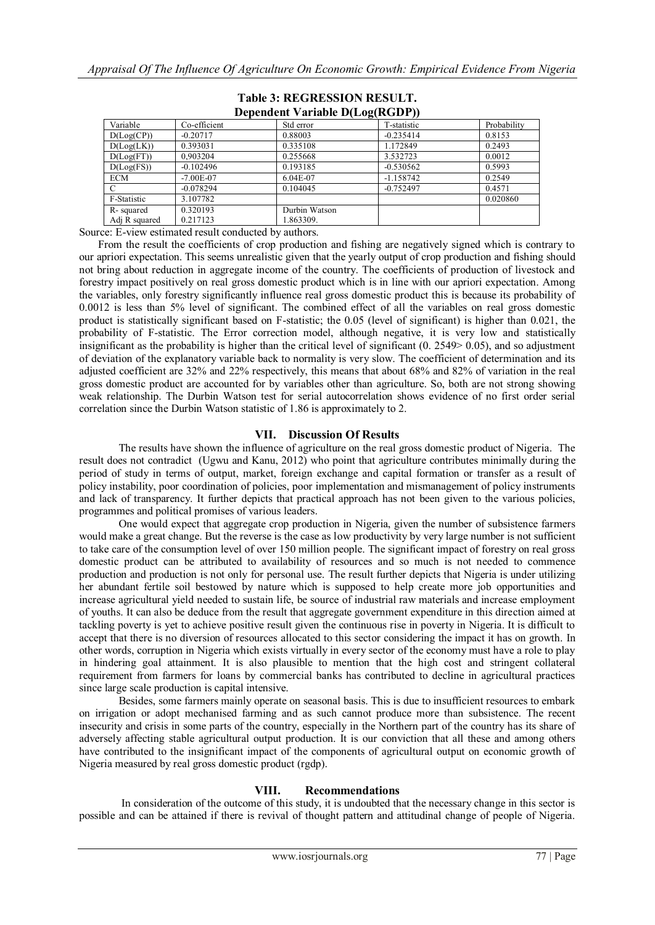| Dependent variable D(Log(RGDT)) |               |               |             |             |  |  |  |
|---------------------------------|---------------|---------------|-------------|-------------|--|--|--|
| Variable                        | Co-efficient  | Std error     | T-statistic | Probability |  |  |  |
| D(Log(CP))                      | $-0.20717$    | 0.88003       | $-0.235414$ | 0.8153      |  |  |  |
| D(Log(LK))                      | 0.393031      | 0.335108      | 1.172849    | 0.2493      |  |  |  |
| D(Log(FT))                      | 0.903204      | 0.255668      | 3.532723    | 0.0012      |  |  |  |
| D(Log(FS))                      | $-0.102496$   | 0.193185      | $-0.530562$ | 0.5993      |  |  |  |
| <b>ECM</b>                      | $-7.00E - 07$ | 6.04E-07      | $-1.158742$ | 0.2549      |  |  |  |
|                                 | $-0.078294$   | 0.104045      | $-0.752497$ | 0.4571      |  |  |  |
| F-Statistic                     | 3.107782      |               |             | 0.020860    |  |  |  |
| R-squared                       | 0.320193      | Durbin Watson |             |             |  |  |  |
| Adj R squared                   | 0.217123      | 1.863309.     |             |             |  |  |  |

#### **Table 3: REGRESSION RESULT.**  $D_{\text{current}} = \frac{1}{N} I_{\text{test}}$

Source: E-view estimated result conducted by authors.

 From the result the coefficients of crop production and fishing are negatively signed which is contrary to our apriori expectation. This seems unrealistic given that the yearly output of crop production and fishing should not bring about reduction in aggregate income of the country. The coefficients of production of livestock and forestry impact positively on real gross domestic product which is in line with our apriori expectation. Among the variables, only forestry significantly influence real gross domestic product this is because its probability of 0.0012 is less than 5% level of significant. The combined effect of all the variables on real gross domestic product is statistically significant based on F-statistic; the 0.05 (level of significant) is higher than 0.021, the probability of F-statistic. The Error correction model, although negative, it is very low and statistically insignificant as the probability is higher than the critical level of significant (0. 2549> 0.05), and so adjustment of deviation of the explanatory variable back to normality is very slow. The coefficient of determination and its adjusted coefficient are 32% and 22% respectively, this means that about 68% and 82% of variation in the real gross domestic product are accounted for by variables other than agriculture. So, both are not strong showing weak relationship. The Durbin Watson test for serial autocorrelation shows evidence of no first order serial correlation since the Durbin Watson statistic of 1.86 is approximately to 2.

## **VII. Discussion Of Results**

 The results have shown the influence of agriculture on the real gross domestic product of Nigeria. The result does not contradict (Ugwu and Kanu, 2012) who point that agriculture contributes minimally during the period of study in terms of output, market, foreign exchange and capital formation or transfer as a result of policy instability, poor coordination of policies, poor implementation and mismanagement of policy instruments and lack of transparency. It further depicts that practical approach has not been given to the various policies, programmes and political promises of various leaders.

 One would expect that aggregate crop production in Nigeria, given the number of subsistence farmers would make a great change. But the reverse is the case as low productivity by very large number is not sufficient to take care of the consumption level of over 150 million people. The significant impact of forestry on real gross domestic product can be attributed to availability of resources and so much is not needed to commence production and production is not only for personal use. The result further depicts that Nigeria is under utilizing her abundant fertile soil bestowed by nature which is supposed to help create more job opportunities and increase agricultural yield needed to sustain life, be source of industrial raw materials and increase employment of youths. It can also be deduce from the result that aggregate government expenditure in this direction aimed at tackling poverty is yet to achieve positive result given the continuous rise in poverty in Nigeria. It is difficult to accept that there is no diversion of resources allocated to this sector considering the impact it has on growth. In other words, corruption in Nigeria which exists virtually in every sector of the economy must have a role to play in hindering goal attainment. It is also plausible to mention that the high cost and stringent collateral requirement from farmers for loans by commercial banks has contributed to decline in agricultural practices since large scale production is capital intensive.

 Besides, some farmers mainly operate on seasonal basis. This is due to insufficient resources to embark on irrigation or adopt mechanised farming and as such cannot produce more than subsistence. The recent insecurity and crisis in some parts of the country, especially in the Northern part of the country has its share of adversely affecting stable agricultural output production. It is our conviction that all these and among others have contributed to the insignificant impact of the components of agricultural output on economic growth of Nigeria measured by real gross domestic product (rgdp).

## **VIII. Recommendations**

In consideration of the outcome of this study, it is undoubted that the necessary change in this sector is possible and can be attained if there is revival of thought pattern and attitudinal change of people of Nigeria.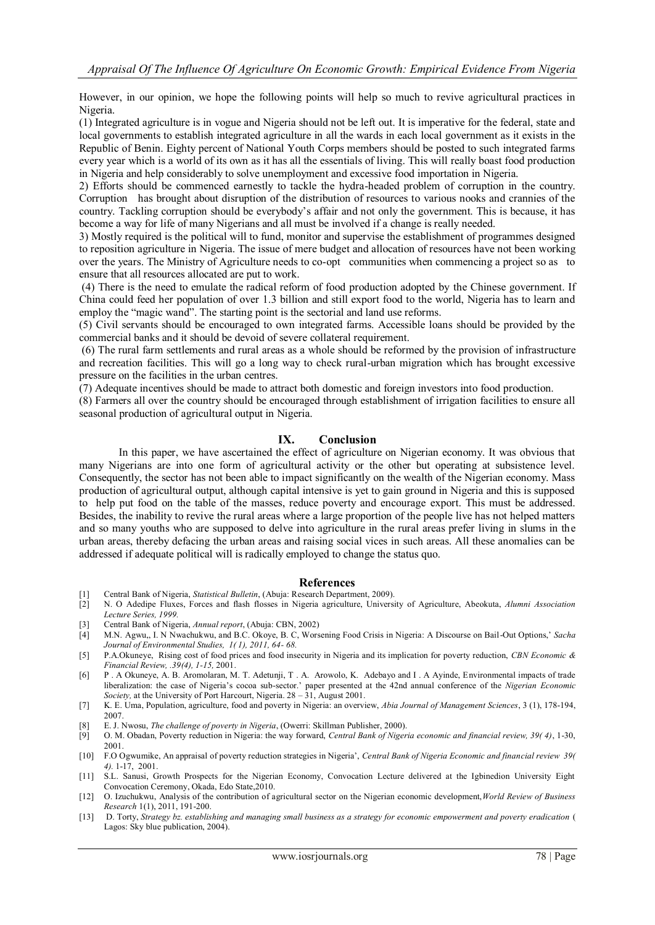However, in our opinion, we hope the following points will help so much to revive agricultural practices in Nigeria.

(1) Integrated agriculture is in vogue and Nigeria should not be left out. It is imperative for the federal, state and local governments to establish integrated agriculture in all the wards in each local government as it exists in the Republic of Benin. Eighty percent of National Youth Corps members should be posted to such integrated farms every year which is a world of its own as it has all the essentials of living. This will really boast food production in Nigeria and help considerably to solve unemployment and excessive food importation in Nigeria.

2) Efforts should be commenced earnestly to tackle the hydra-headed problem of corruption in the country. Corruption has brought about disruption of the distribution of resources to various nooks and crannies of the country. Tackling corruption should be everybody"s affair and not only the government. This is because, it has become a way for life of many Nigerians and all must be involved if a change is really needed.

3) Mostly required is the political will to fund, monitor and supervise the establishment of programmes designed to reposition agriculture in Nigeria. The issue of mere budget and allocation of resources have not been working over the years. The Ministry of Agriculture needs to co-opt communities when commencing a project so as to ensure that all resources allocated are put to work.

(4) There is the need to emulate the radical reform of food production adopted by the Chinese government. If China could feed her population of over 1.3 billion and still export food to the world, Nigeria has to learn and employ the "magic wand". The starting point is the sectorial and land use reforms.

(5) Civil servants should be encouraged to own integrated farms. Accessible loans should be provided by the commercial banks and it should be devoid of severe collateral requirement.

(6) The rural farm settlements and rural areas as a whole should be reformed by the provision of infrastructure and recreation facilities. This will go a long way to check rural-urban migration which has brought excessive pressure on the facilities in the urban centres.

(7) Adequate incentives should be made to attract both domestic and foreign investors into food production.

(8) Farmers all over the country should be encouraged through establishment of irrigation facilities to ensure all seasonal production of agricultural output in Nigeria.

#### **IX. Conclusion**

 In this paper, we have ascertained the effect of agriculture on Nigerian economy. It was obvious that many Nigerians are into one form of agricultural activity or the other but operating at subsistence level. Consequently, the sector has not been able to impact significantly on the wealth of the Nigerian economy. Mass production of agricultural output, although capital intensive is yet to gain ground in Nigeria and this is supposed to help put food on the table of the masses, reduce poverty and encourage export. This must be addressed. Besides, the inability to revive the rural areas where a large proportion of the people live has not helped matters and so many youths who are supposed to delve into agriculture in the rural areas prefer living in slums in the urban areas, thereby defacing the urban areas and raising social vices in such areas. All these anomalies can be addressed if adequate political will is radically employed to change the status quo.

#### **References**

- [1] Central Bank of Nigeria, *Statistical Bulletin*, (Abuja: Research Department, 2009).
- [2] N. O Adedipe Fluxes, Forces and flash flosses in Nigeria agriculture, University of Agriculture, Abeokuta, *Alumni Association Lecture Series, 1999.*
- [3] Central Bank of Nigeria, *Annual report*, (Abuja: CBN, 2002)
- [4] M.N. Agwu,, I. N Nwachukwu, and B.C. Okoye, B. C, Worsening Food Crisis in Nigeria: A Discourse on Bail-Out Options," *Sacha Journal of Environmental Studies, 1( 1), 2011, 64- 68.*
- [5] P.A.Okuneye, Rising cost of food prices and food insecurity in Nigeria and its implication for poverty reduction, *CBN Economic & Financial Review, .39(4), 1-15,* 2001.
- [6] P . A Okuneye, A. B. Aromolaran, M. T. Adetunji, T . A. Arowolo, K. Adebayo and I . A Ayinde, Environmental impacts of trade liberalization: the case of Nigeria"s cocoa sub-sector." paper presented at the 42nd annual conference of the *Nigerian Economic Society,* at the University of Port Harcourt, Nigeria. 28 – 31, August 2001.
- [7] K. E. Uma, Population, agriculture, food and poverty in Nigeria: an overview, *Abia Journal of Management Sciences*, 3 (1), 178-194, 2007.
- [8] E. J. Nwosu, *The challenge of poverty in Nigeria*, (Owerri: Skillman Publisher, 2000).
- [9] O. M. Obadan, Poverty reduction in Nigeria: the way forward, *Central Bank of Nigeria economic and financial review, 39( 4)*, 1-30, 2001.
- [10] F.O Ogwumike, An appraisal of poverty reduction strategies in Nigeria", *Central Bank of Nigeria Economic and financial review 39( 4).* 1-17, 2001.
- [11] S.L. Sanusi, Growth Prospects for the Nigerian Economy, Convocation Lecture delivered at the Igbinedion University Eight Convocation Ceremony, Okada, Edo State,2010.
- [12] O. Izuchukwu, Analysis of the contribution of agricultural sector on the Nigerian economic development,*World Review of Business Research* 1(1), 2011, 191-200.
- [13] D. Torty, *Strategy bz. establishing and managing small business as a strategy for economic empowerment and poverty eradication* ( Lagos: Sky blue publication, 2004).